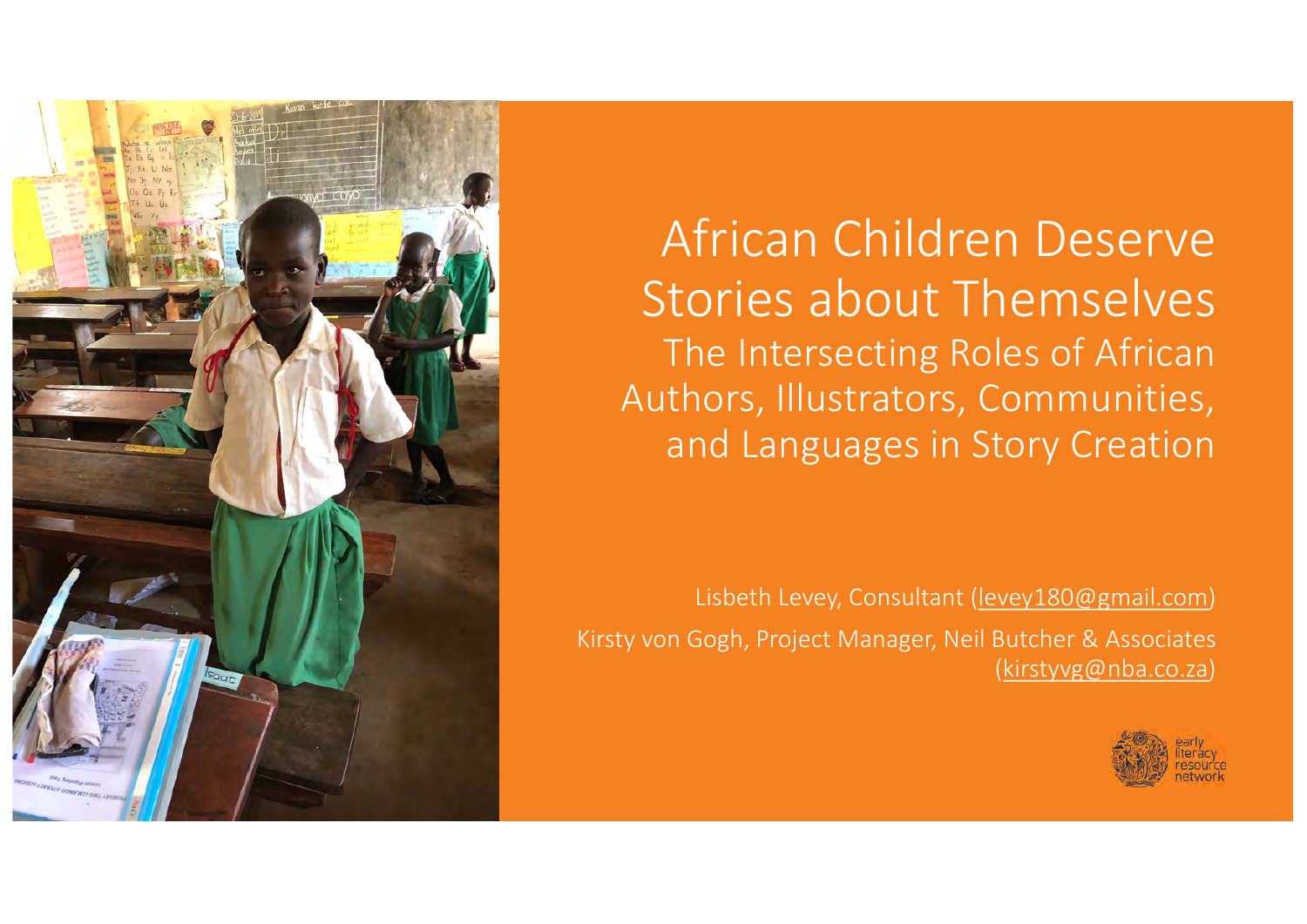

African Children Deserve Stories about Themselves The Intersecting Roles of African Authors, Illustrators, Communities, and Languages in Story Creation

Lisbeth Levey, Consultant [\(levey180@gmail.com](http://gmail.com)) Kirsty von Gogh, Project Manager, Neil Butcher & Associates [\(kirstyvg@nba.co.za](http://nba.co.za))

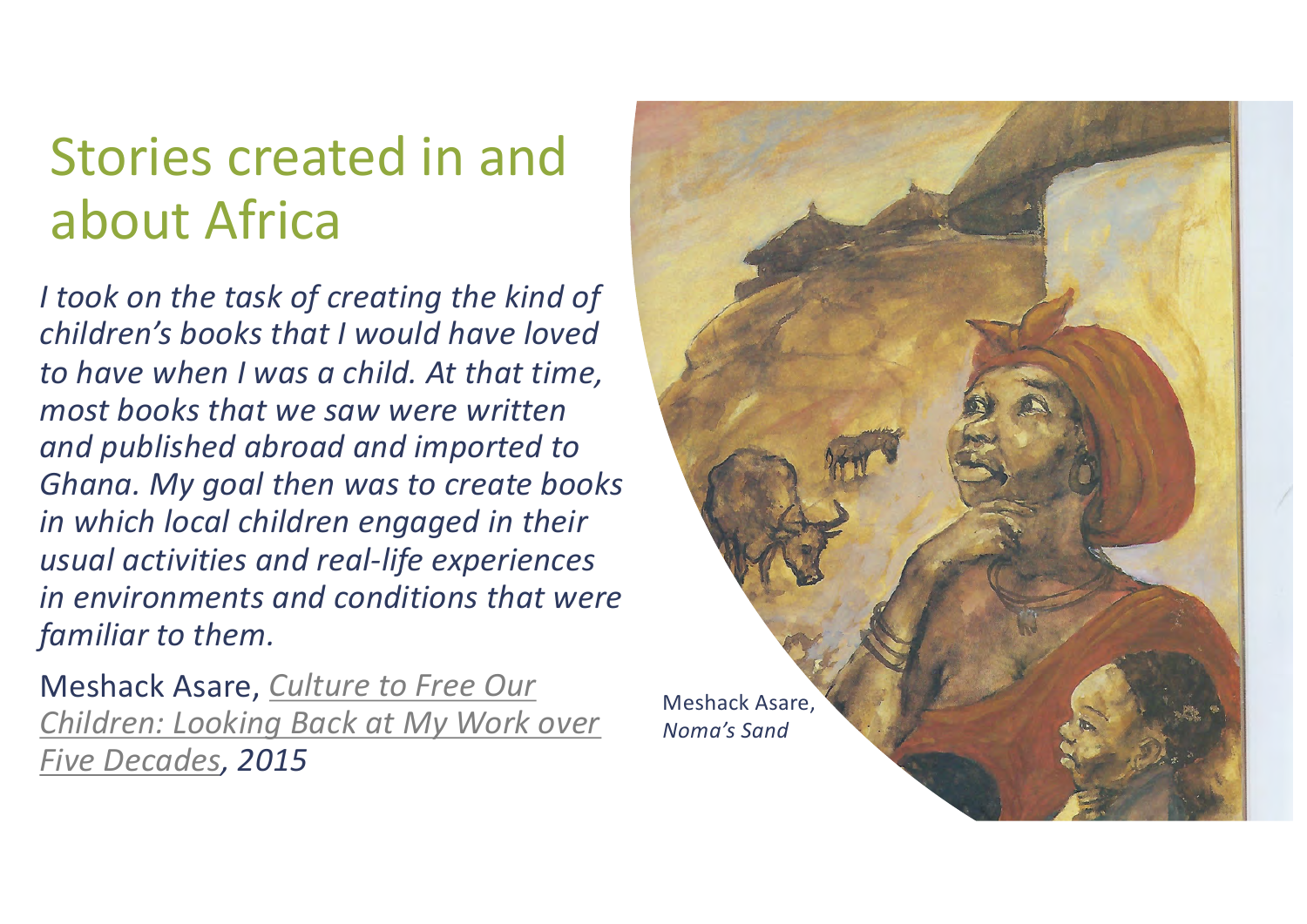# Stories created in and about Africa

*I took on the task of creating the kind of children's books that I would have loved to have when I was a child. At that time, most books that we saw were written and published abroad and imported to Ghana. My goal then was to create books in which local children engaged in their usual activities and real-life experiences in environments and conditions that were familiar to them.*

Meshack Asare, *Culture to Free Our [Children: Looking Back at My Work over](https://www.worldliteraturetoday.org/2016/january/culture-free-our-children-looking-back-my-work-over-five-decades-meshack-asare) Five Decades, 2015*

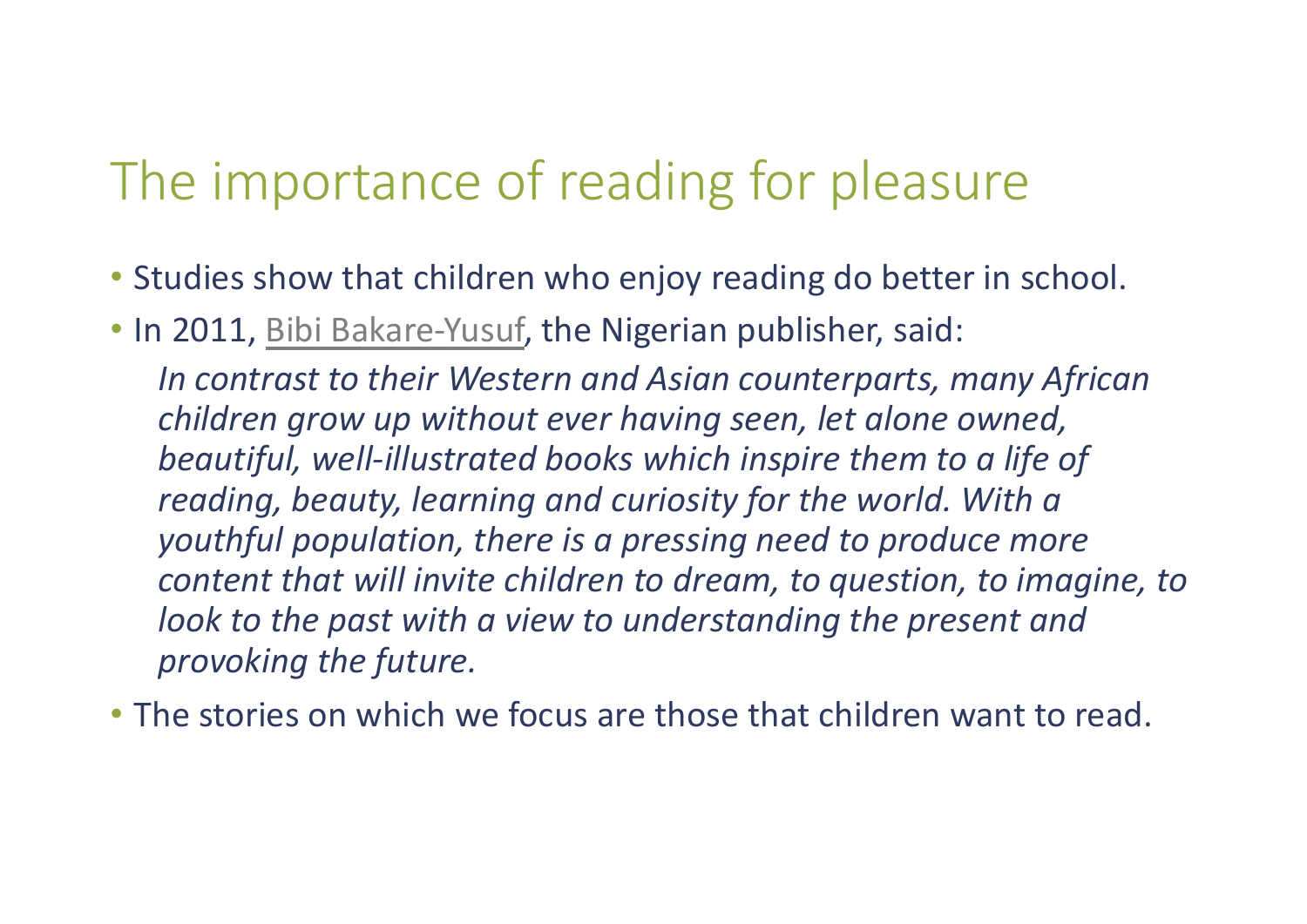# The importance of reading for pleasure

- Studies show that children who enjoy reading do better in school.
- In 2011[, Bibi Bakare-Yusu](http://www.foresightfordevelopment.org/sobipro/download-file/46-233/54)f, the Nigerian publisher, said:

*In contrast to their Western and Asian counterparts, many African children grow up without ever having seen, let alone owned, beautiful, well-illustrated books which inspire them to a life of reading, beauty, learning and curiosity for the world. With a youthful population, there is a pressing need to produce more content that will invite children to dream, to question, to imagine, to look to the past with a view to understanding the present and provoking the future.* 

• The stories on which we focus are those that children want to read.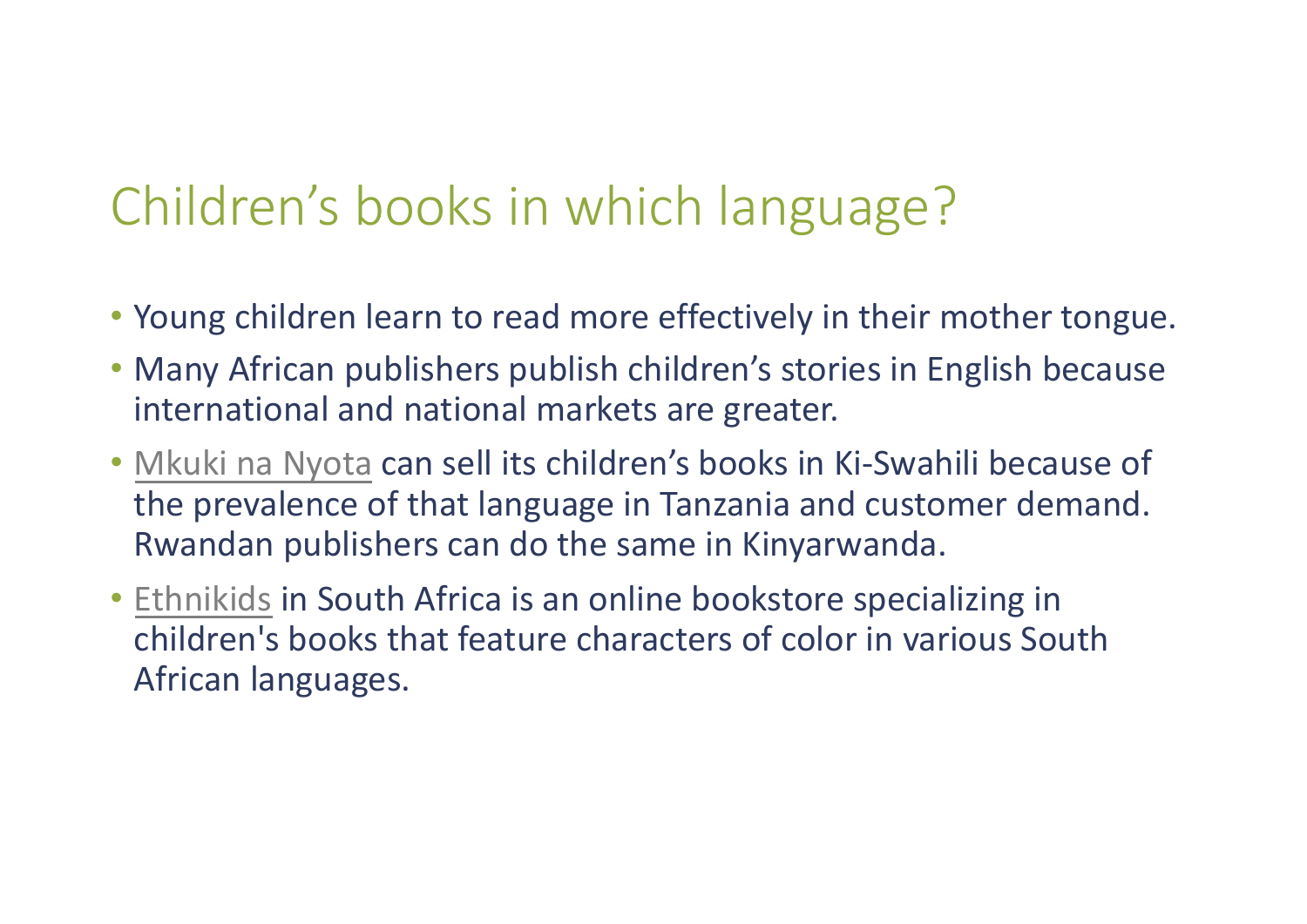# Children's books in which language?

- Young children learn to read more effectively in their mother tongue.
- Many African publishers publish children's stories in English because international and national markets are greater.
- [Mkuki na Nyota](http://www.mkukinanyota.com/) can sell its children's books in Ki-Swahili because of the prevalence of that language in Tanzania and customer demand. Rwandan publishers can do the same in Kinyarwanda.
- [Ethnikids](https://ethnikids.co.za/) in South Africa is an online bookstore specializing in children's books that feature characters of color in various South African languages.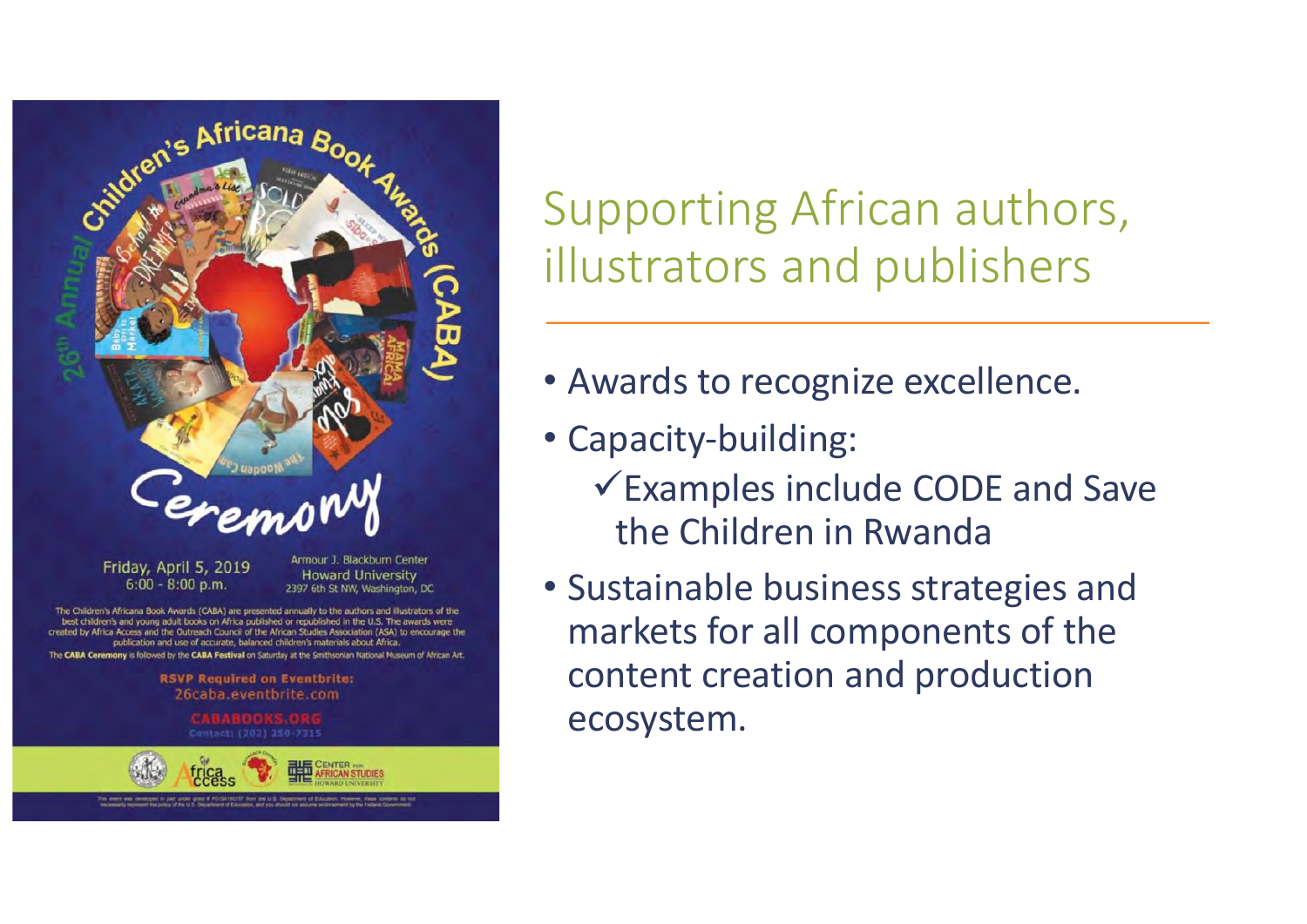

The Children's Africana Book Awards (CABA) are presented annually to the authors and illustrators of the best children's and young adult books on Africa published or republished in the U.S. The awards were Ifrica Access and the Outreach Council of the African Studies Association (ASA) to encourage the publication and use of accurate, balanced children's materials about Africa.

The CABA Ceremony is followed by the CABA Festival on Saturday at the Smithsonian National Museum of African Art

**RSVP Required on Eventbrite:** 26caba eventbrite.com



Supporting African authors, illustrators and publishers

- Awards to recognize excellence.
- Capacity-building:
	- $\checkmark$  Examples include CODE and Save the Children in Rwanda
- Sustainable business strategies and markets for all components of the content creation and production ecosystem.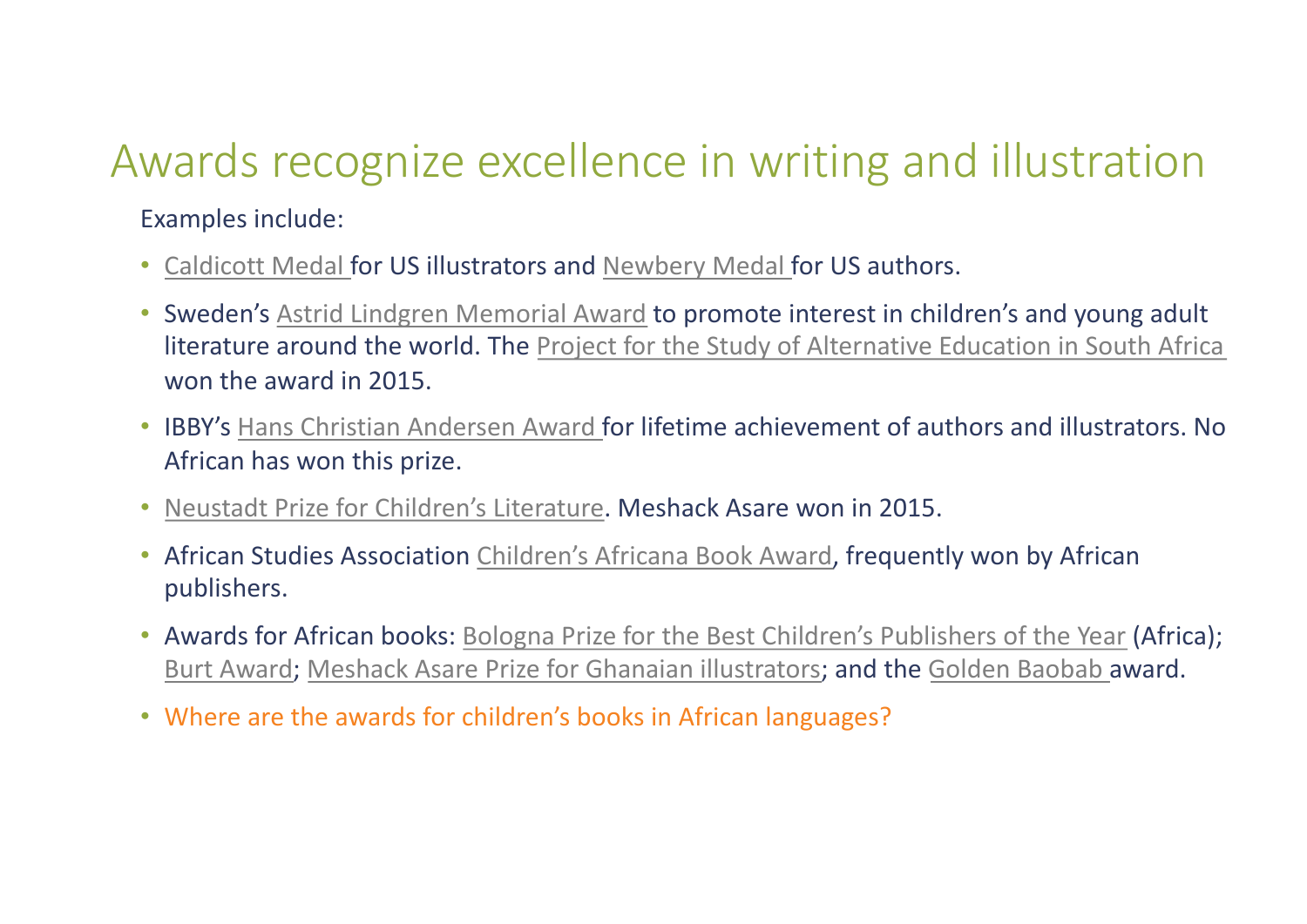### Awards recognize excellence in writing and illustration

Examples include:

- [Caldicott Medal](http://www.ala.org/alsc/awardsgrants/bookmedia/caldecottmedal/caldecottmedal) for US illustrators an[d Newbery Medal](http://www.ala.org/alsc/awardsgrants/bookmedia/newberymedal/newberymedal) for US authors.
- Sweden'[s Astrid Lindgren Memorial Award](http://www.alma.se/en/) to promote interest in children's and young adult literature around the world. Th[e Project for the Study of Alternative Education in South Africa](http://www.praesa.org.za) won the award in 2015.
- IBBY'[s Hans Christian Andersen Award](http://www.ibby.org/awards-activities/awards/hans-christian-andersen-awards/) for lifetime achievement of authors and illustrators. No African has won this prize.
- [Neustadt Prize for Children's Literature](https://www.neustadtprize.org/the-nsk-prize/). Meshack Asare won in 2015.
- African Studies Associatio[n Children's Africana Book Award](http://africaaccessreview.org/childrens-africana-book-awards/), frequently won by African publishers.
- Awards for African books[: Bologna Prize for the Best Children's Publishers of the Yea](http://www.bookfair.bolognafiere.it/en/bologna-childrens-book-fair-awards/bop-bologna-prize-best-childrens-publishers-of-the-year/2019-winners/9401.html)r (Africa); [Burt Award](https://www.burtaward.org/)[; Meshack Asare Prize for Ghanaian illustrators](https://www.ibbyghana.org/); and th[e Golden Baobab](https://www.ibbyghana.org/) award.
- Where are the awards for children's books in African languages?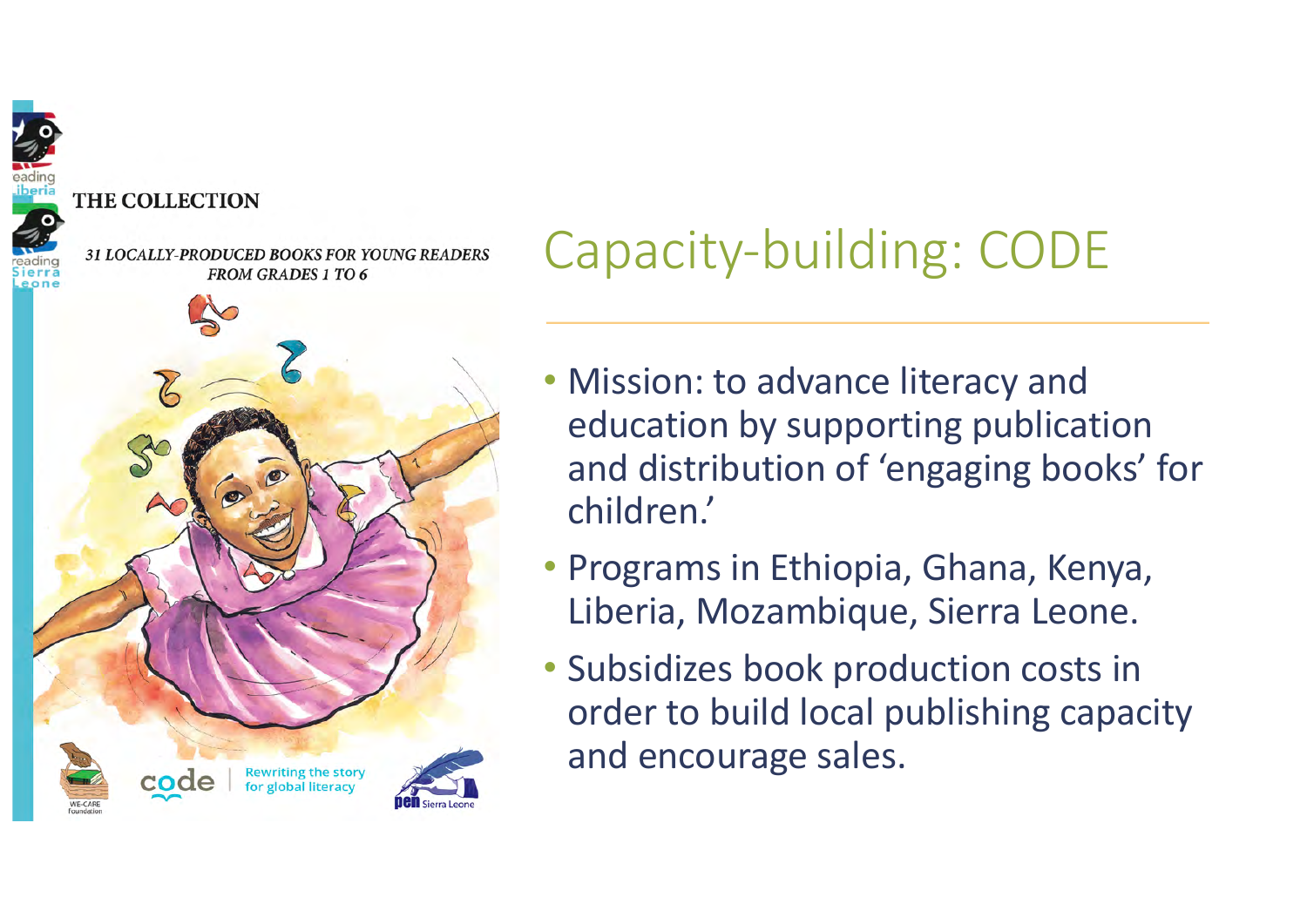#### **THE COLLECTION**

**31 LOCALLY-PRODUCED BOOKS FOR YOUNG READERS FROM GRADES 1 TO 6** 



# Capacity-building: CODE

- Mission: to advance literacy and education by supporting publication and distribution of 'engaging books' for children.'
- Programs in Ethiopia, Ghana, Kenya, Liberia, Mozambique, Sierra Leone.
- Subsidizes book production costs in order to build local publishing capacity and encourage sales.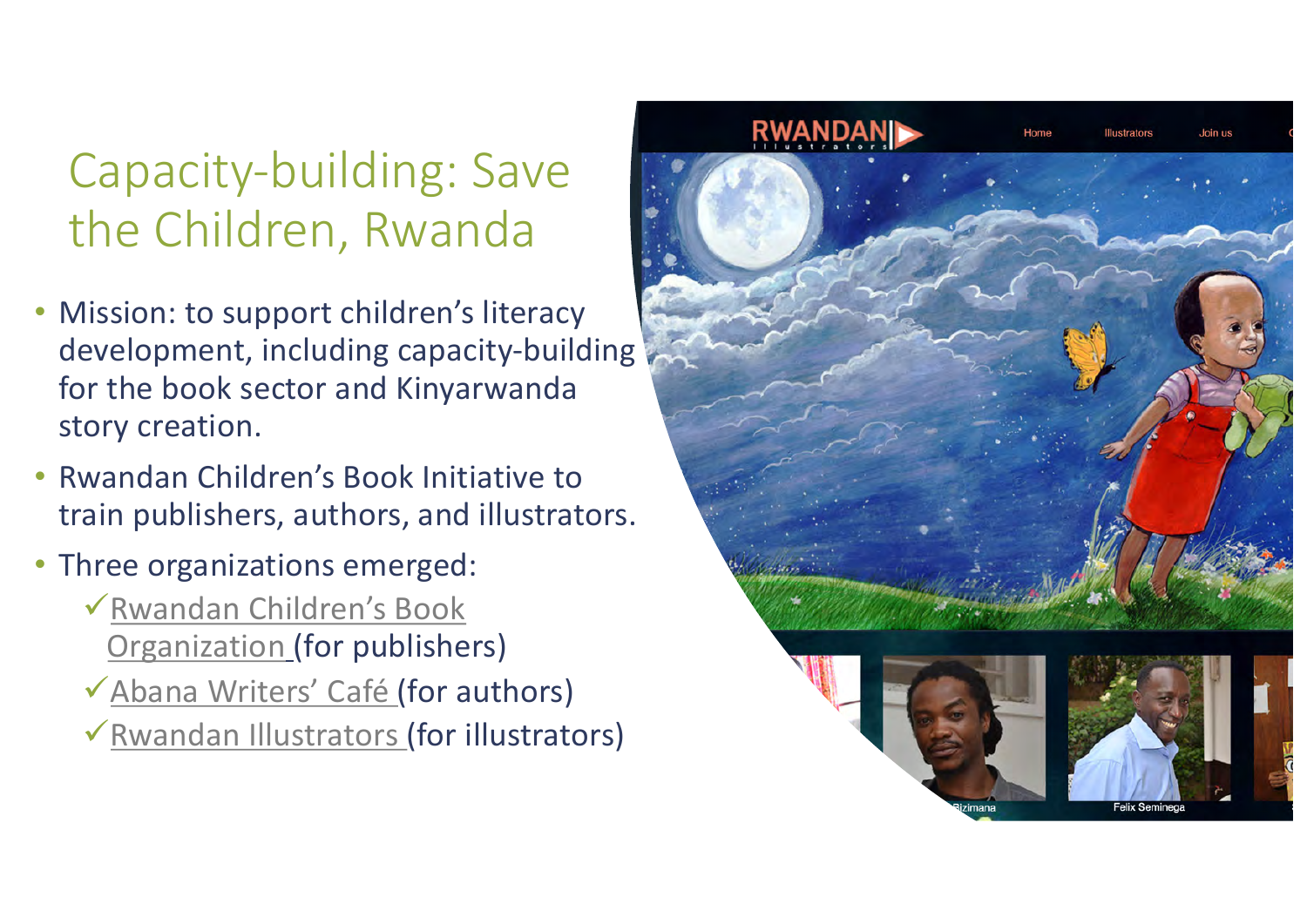### Capacity-building: Save the Children, Rwanda

- Mission: to support children's literacy development, including capacity-building for the book sector and Kinyarwanda story creation.
- Rwandan Children's Book Initiative to train publishers, authors, and illustrators.
- Three organizations emerged:
	- $\checkmark$  [Rwandan Children's Book](http://www.rcbo.rw/) Organization (for publishers)
	- **V** [Abana Writers' Café](http://rwandainspirer.com/2019/05/03/improving-childrens-reading-the-dreams-of-abana-writers-cafe/) (for authors)
	- $\checkmark$  [Rwandan Illustrators](http://www.rwandanillustrators.org/) (for illustrators)

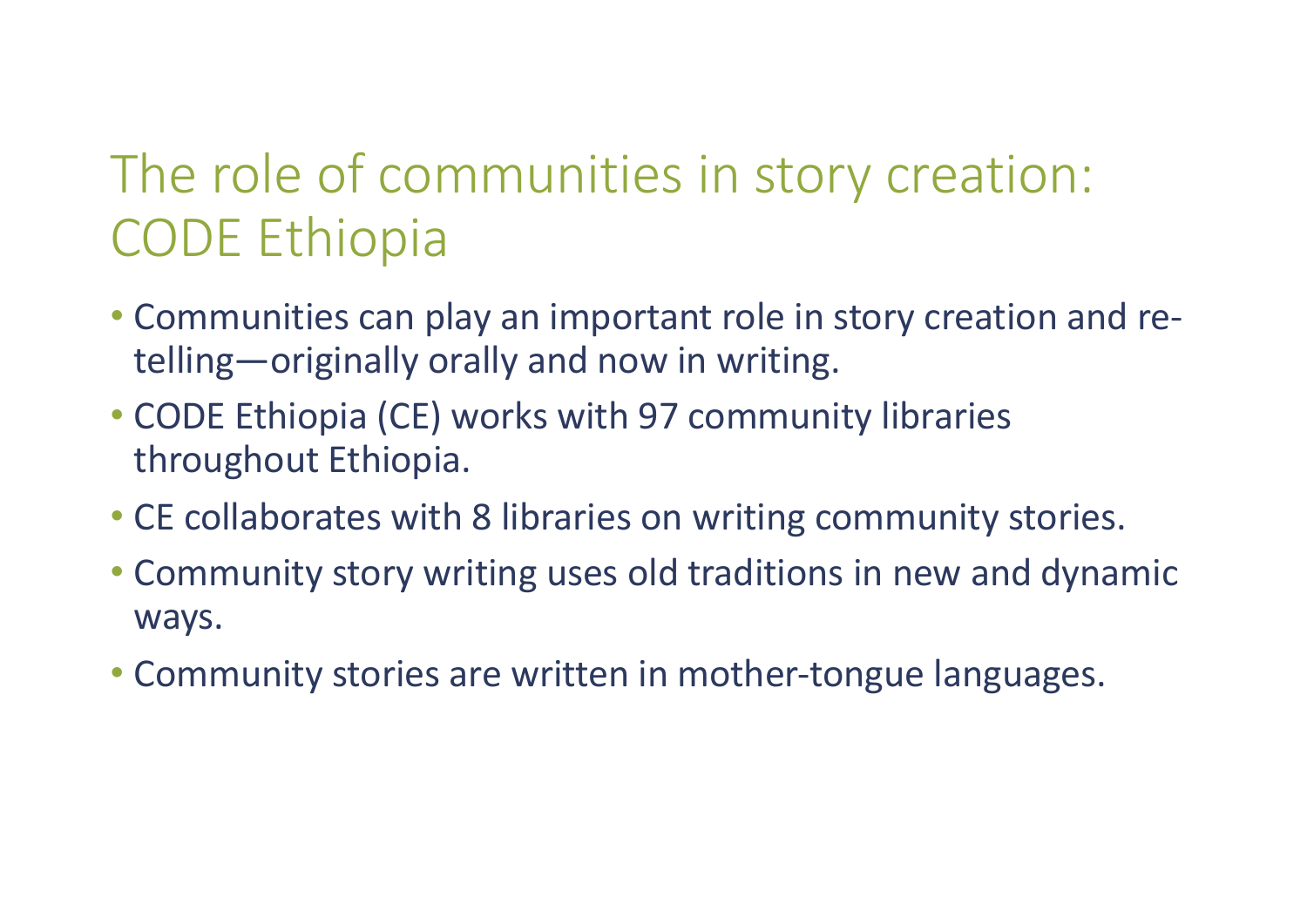# The role of communities in story creation: CODE Ethiopia

- Communities can play an important role in story creation and retelling—originally orally and now in writing.
- CODE Ethiopia (CE) works with 97 community libraries throughout Ethiopia.
- CE collaborates with 8 libraries on writing community stories.
- Community story writing uses old traditions in new and dynamic ways.
- Community stories are written in mother-tongue languages.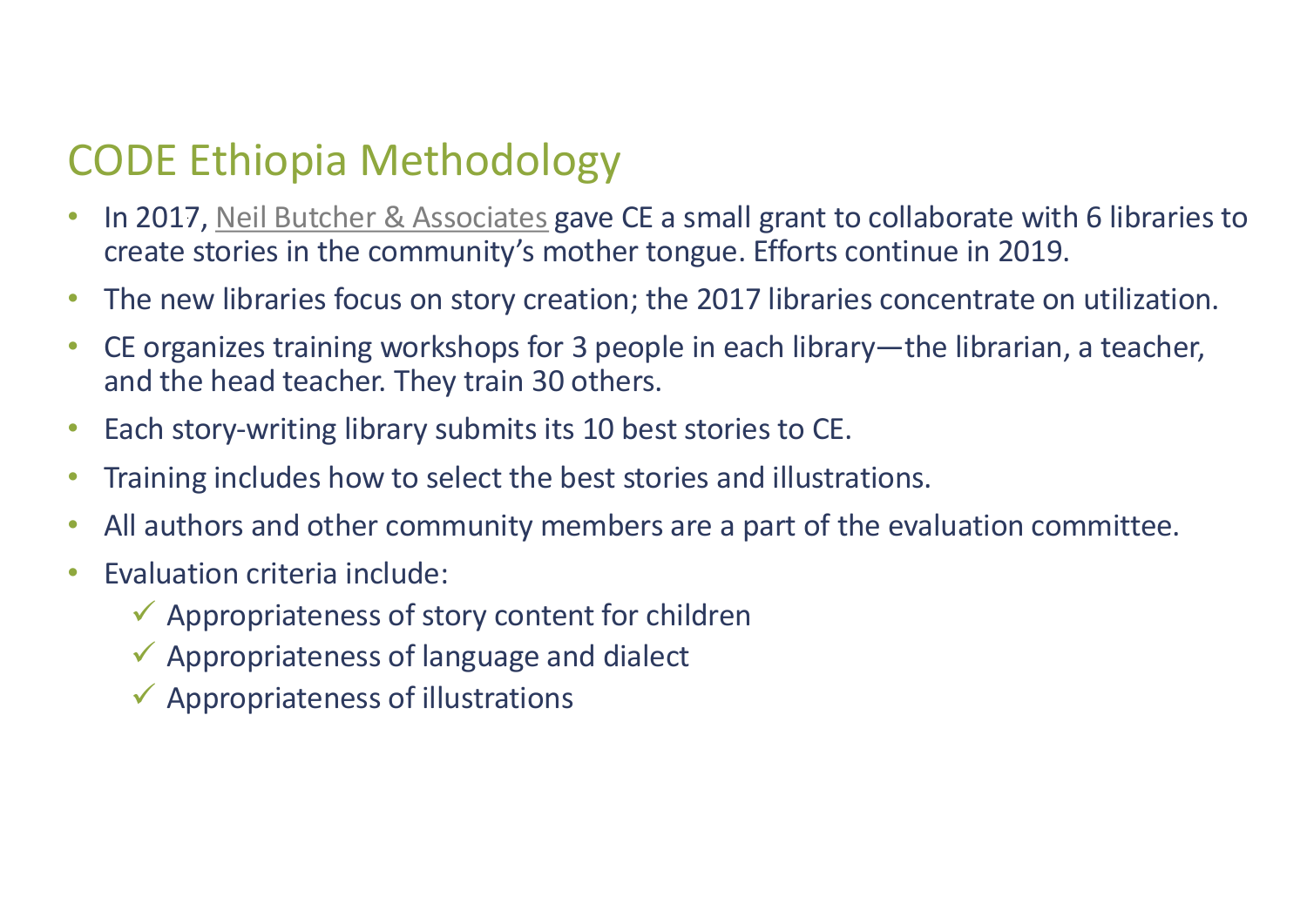### CODE Ethiopia Methodology

- In 2017[, Neil Butcher & Associates](http://www.nba.co.za/) gave CE a small grant to collaborate with 6 libraries to create stories in the community's mother tongue. Efforts continue in 2019.
- The new libraries focus on story creation; the 2017 libraries concentrate on utilization.
- CE organizes training workshops for 3 people in each library—the librarian, a teacher, and the head teacher. They train 30 others.
- Each story-writing library submits its 10 best stories to CE.
- Training includes how to select the best stories and illustrations.
- All authors and other community members are a part of the evaluation committee.
- Evaluation criteria include:
	- $\checkmark$  Appropriateness of story content for children
	- $\checkmark$  Appropriateness of language and dialect
	- $\checkmark$  Appropriateness of illustrations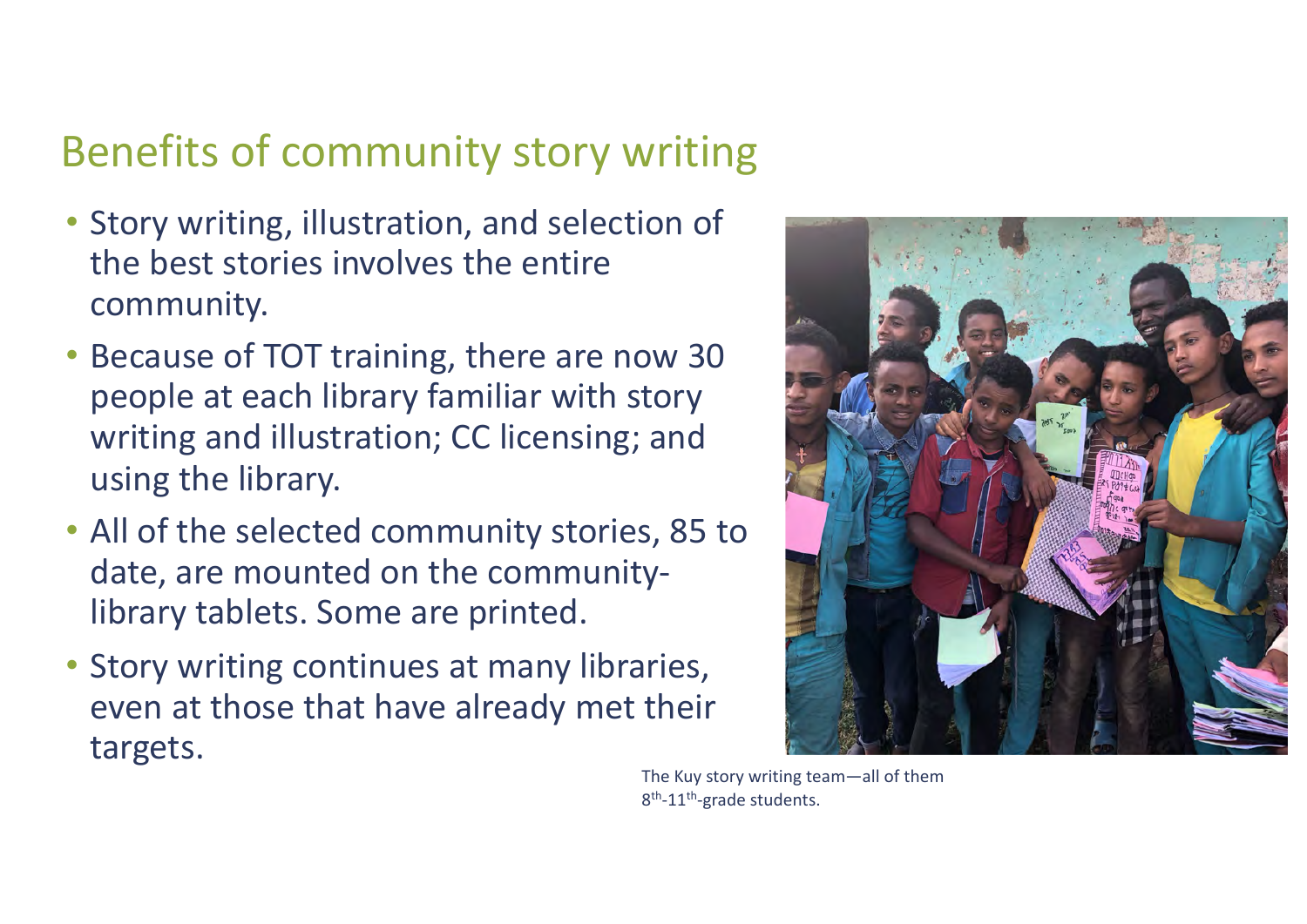#### Benefits of community story writing

- Story writing, illustration, and selection of the best stories involves the entire community.
- Because of TOT training, there are now 30 people at each library familiar with story writing and illustration; CC licensing; and using the library.
- All of the selected community stories, 85 to date, are mounted on the communitylibrary tablets. Some are printed.
- Story writing continues at many libraries, even at those that have already met their targets.



The Kuy story writing team—all of them 8<sup>th</sup>-11<sup>th</sup>-grade students.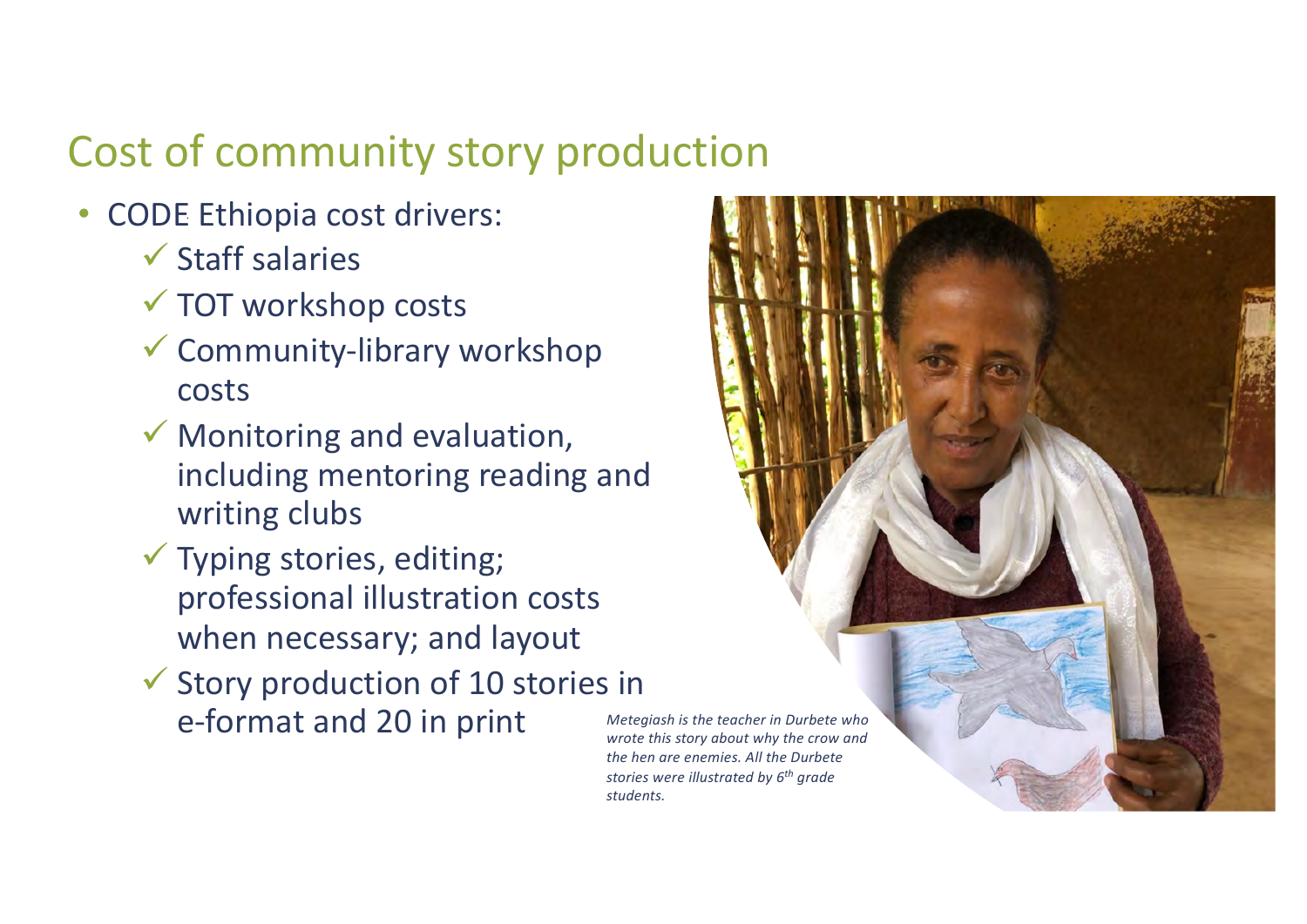### Cost of community story production

- CODE Ethiopia cost drivers:
	- $\checkmark$  Staff salaries
	- $\checkmark$  TOT workshop costs
	- $\checkmark$  Community-library workshop costs
	- $\checkmark$  Monitoring and evaluation, including mentoring reading and writing clubs
	- $\checkmark$  Typing stories, editing; professional illustration costs when necessary; and layout
	- $\checkmark$  Story production of 10 stories in e-format and 20 in print *Metegiash is the teacher in Durbete who*

*wrote this story about why the crow and the hen are enemies. All the Durbete stories were illustrated by 6th grade students.*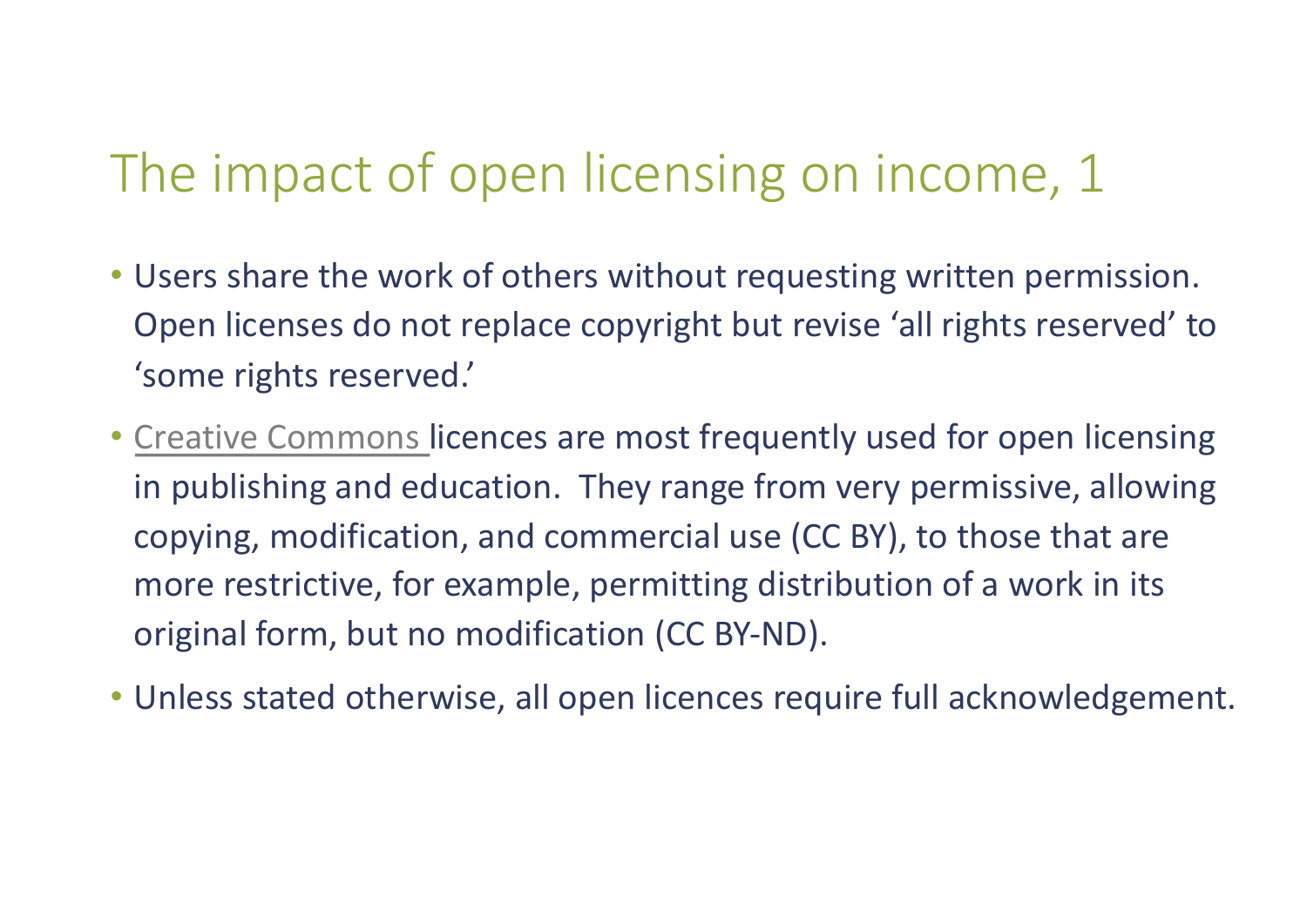# The impact of open licensing on income, 1

- Users share the work of others without requesting written permission. Open licenses do not replace copyright but revise 'all rights reserved' to 'some rights reserved.'
- [Creative Commons](https://creativecommons.org/licenses/) licences are most frequently used for open licensing in publishing and education. They range from very permissive, allowing copying, modification, and commercial use (CC BY), to those that are more restrictive, for example, permitting distribution of a work in its original form, but no modification (CC BY-ND).
- Unless stated otherwise, all open licences require full acknowledgement.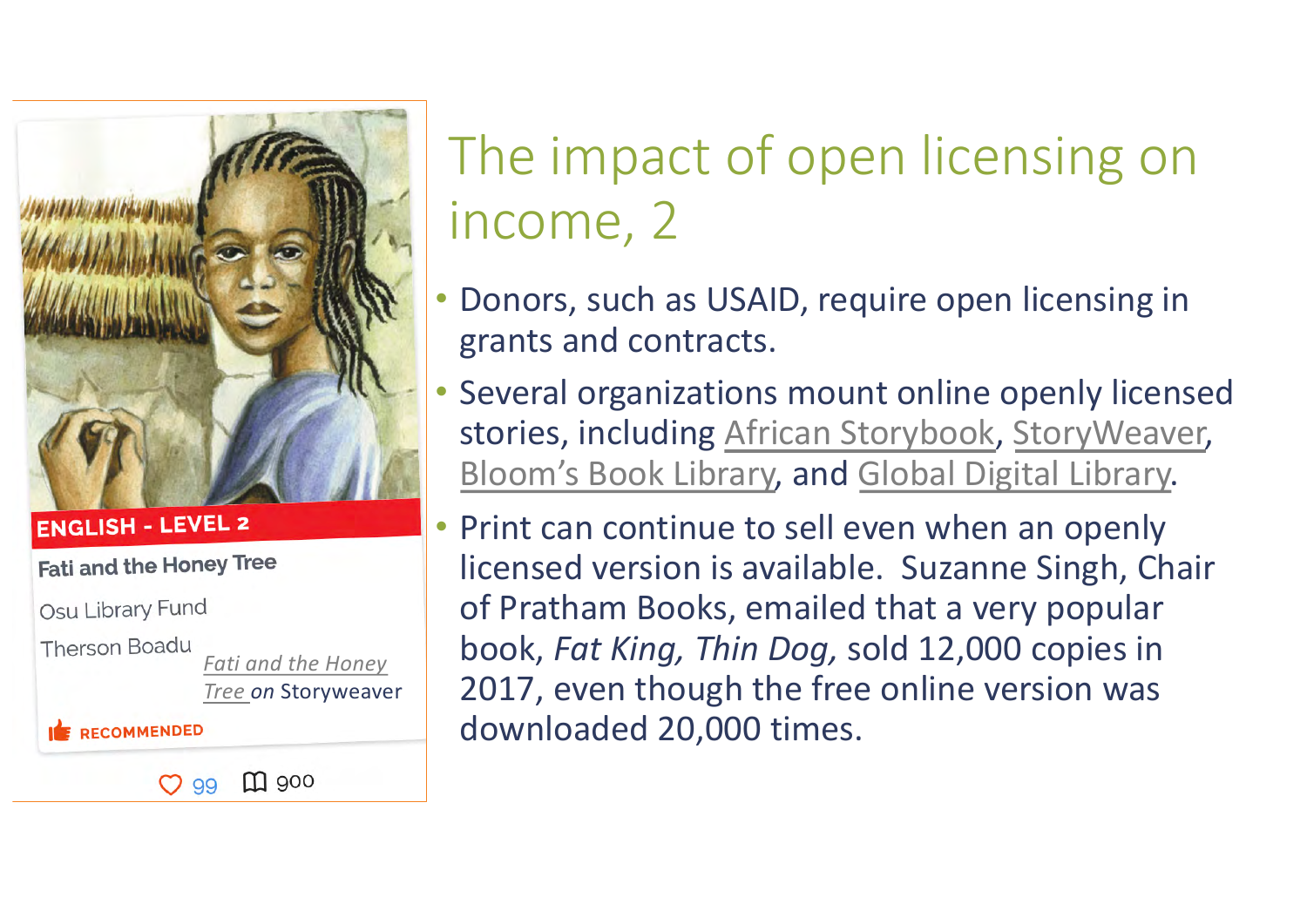

**ENGLISH - LEVEL 2** 

**Fati and the Honey Tree** 

Osu Library Fund

**Therson Boadu** *Fati [and the Hone](https://storyweaver.org.in/stories/32296-fati-and-the-honey-tree)y Tree on* Storyweaver

 $m$  900

**RECOMMENDED** 

 $O.99$ 

# The impact of open licensing on income, 2

- Donors, such as USAID, require open licensing in grants and contracts.
- Several organizations mount online openly licensed stories, includin[g African Storybook](https://www.africanstorybook.org/)[, StoryWeaver](https://storyweaver.org.in/), [Bloom's Book Library](https://bloomlibrary.org/landing), an[d Global Digital Library](https://digitallibrary.io/).
- Print can continue to sell even when an openly licensed version is available. Suzanne Singh, Chair of Pratham Books, emailed that a very popular book, *Fat King, Thin Dog,* sold 12,000 copies in 2017, even though the free online version was downloaded 20,000 times.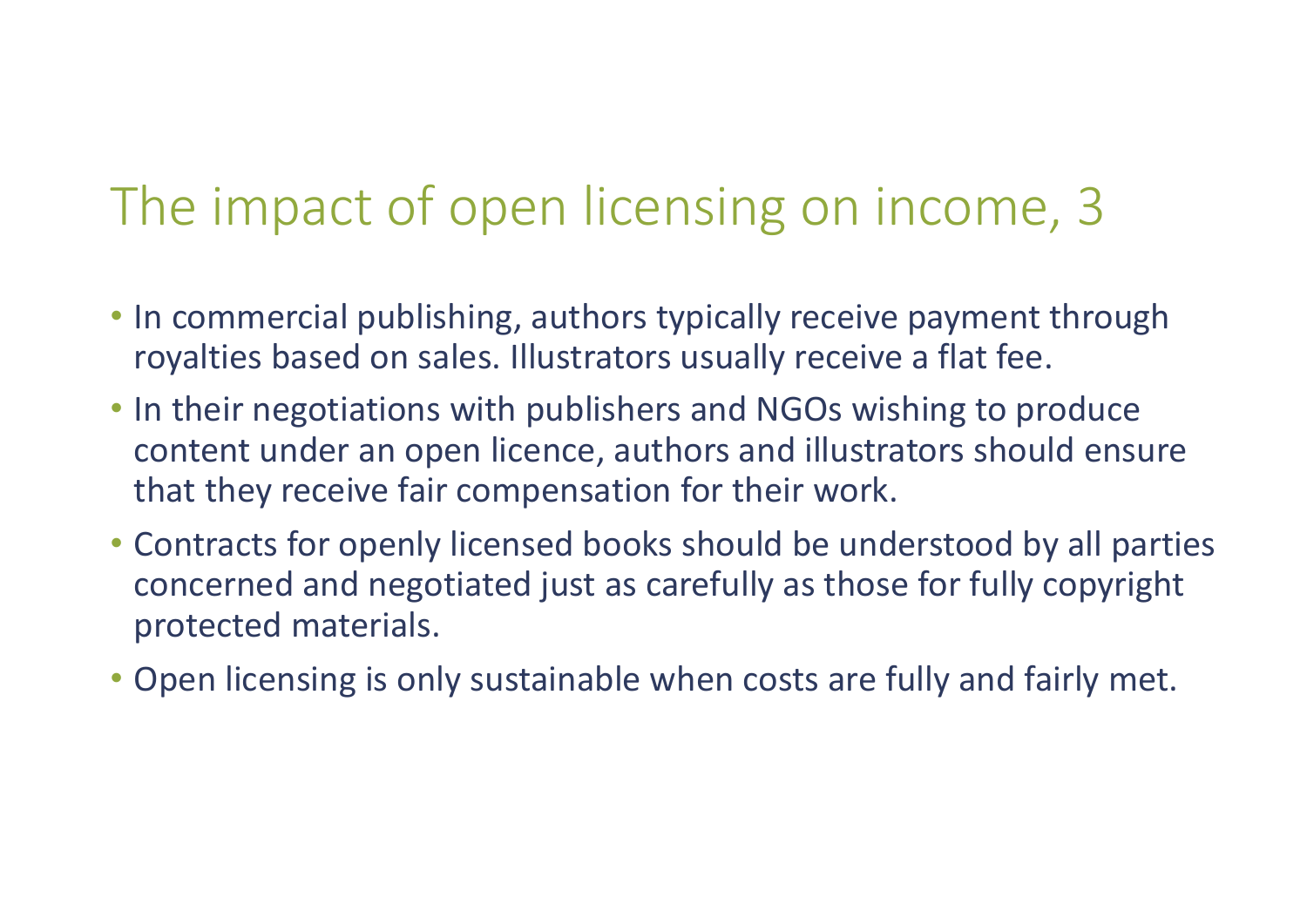# The impact of open licensing on income, 3

- In commercial publishing, authors typically receive payment through royalties based on sales. Illustrators usually receive a flat fee.
- In their negotiations with publishers and NGOs wishing to produce content under an open licence, authors and illustrators should ensure that they receive fair compensation for their work.
- Contracts for openly licensed books should be understood by all parties concerned and negotiated just as carefully as those for fully copyright protected materials.
- Open licensing is only sustainable when costs are fully and fairly met.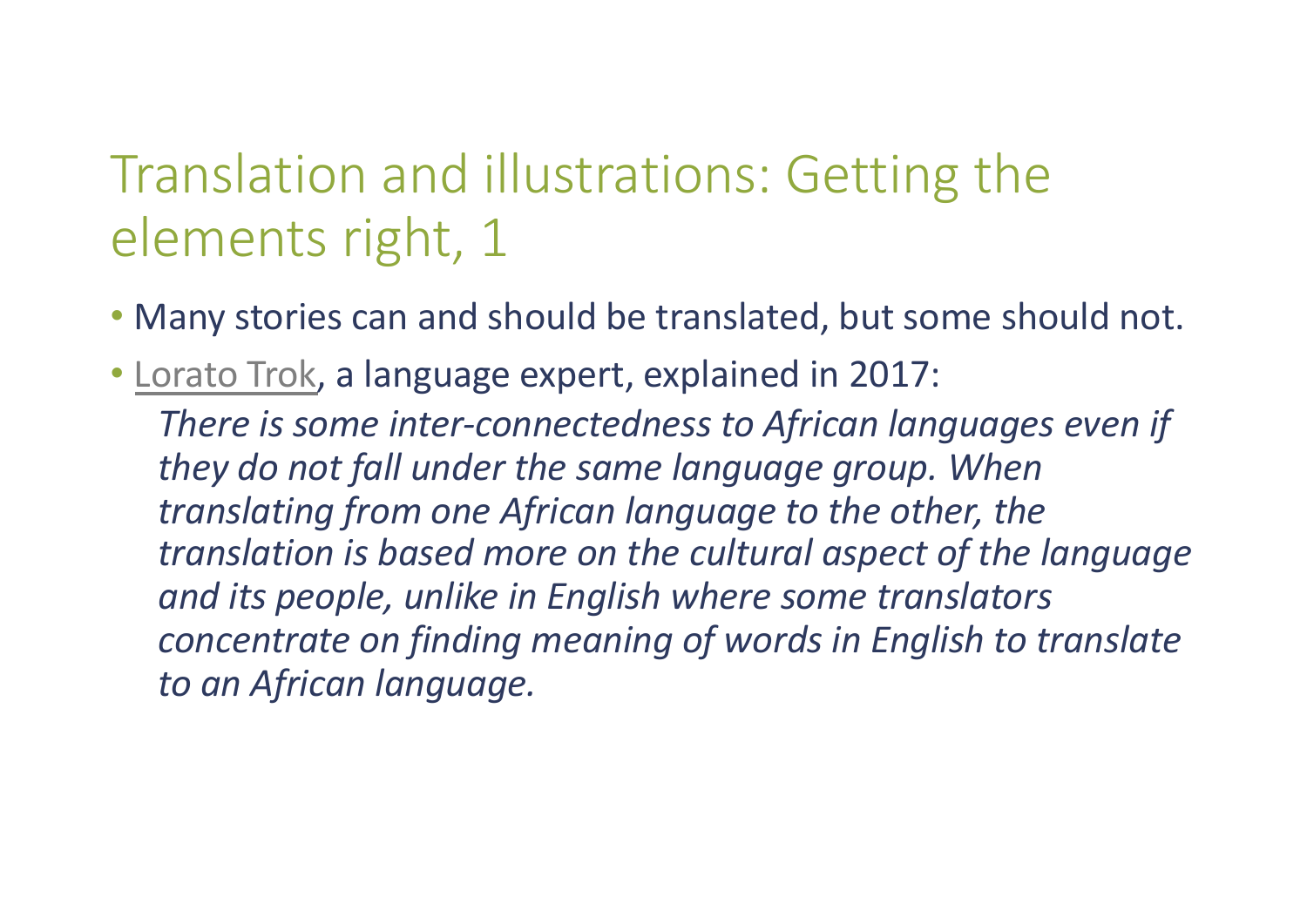# Translation and illustrations: Getting the elements right, 1

- Many stories can and should be translated, but some should not.
- [Lorato Trok](https://research.africanstorybook.org/wordpress/), a language expert, explained in 2017:

*There is some inter-connectedness to African languages even if they do not fall under the same language group. When translating from one African language to the other, the translation is based more on the cultural aspect of the language and its people, unlike in English where some translators concentrate on finding meaning of words in English to translate to an African language.*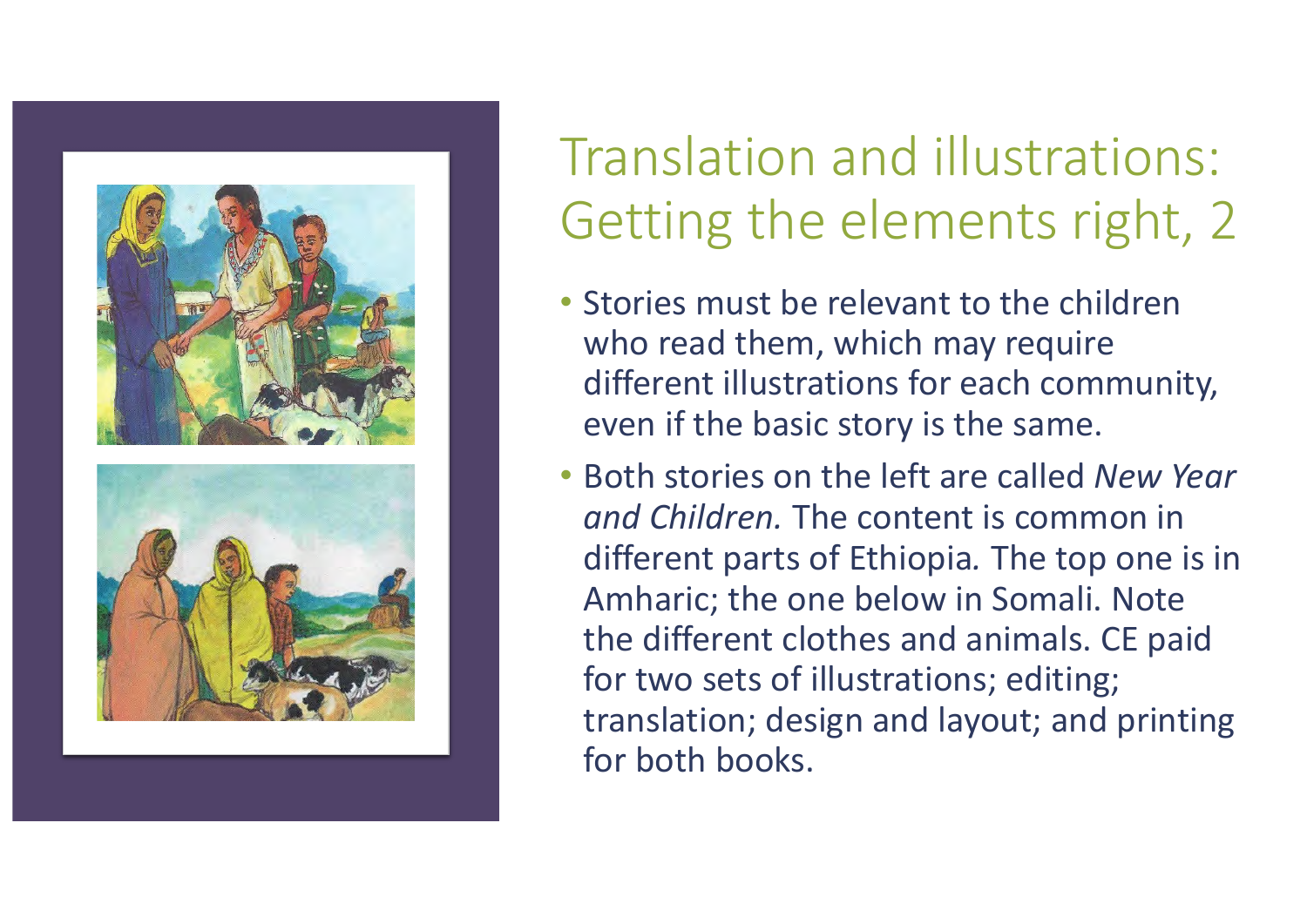

# Translation and illustrations: Getting the elements right, 2

- Stories must be relevant to the children who read them, which may require different illustrations for each community, even if the basic story is the same.
- Both stories on the left are called *New Year and Children.* The content is common in different parts of Ethiopia*.* The top one is in Amharic; the one below in Somali. Note the different clothes and animals. CE paid for two sets of illustrations; editing; translation; design and layout; and printing for both books.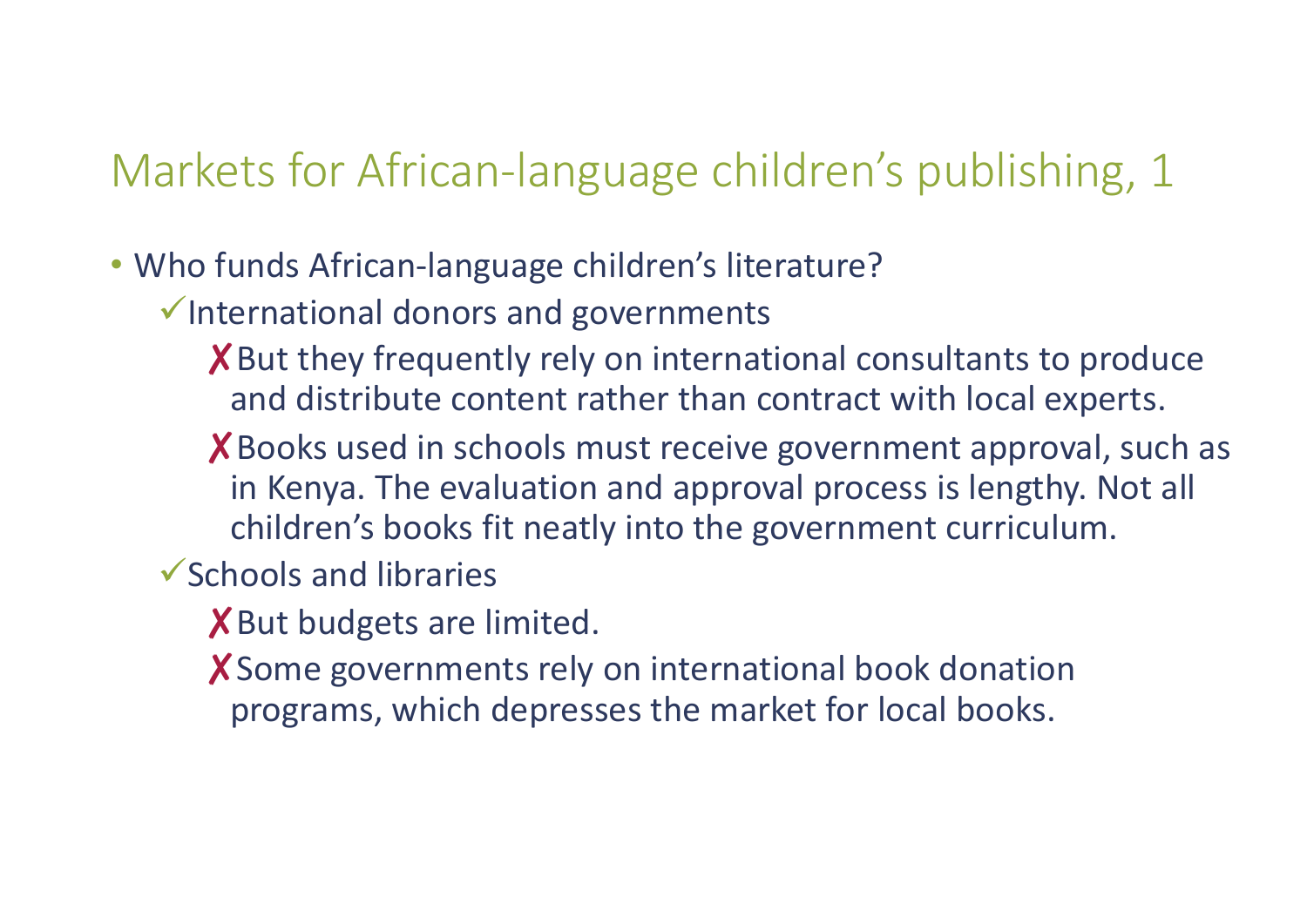### Markets for African-language children's publishing, 1

- Who funds African-language children's literature?
	- $\checkmark$  International donors and governments
		- X But they frequently rely on international consultants to produce and distribute content rather than contract with local experts.
		- ✘Books used in schools must receive government approval, such as in Kenya. The evaluation and approval process is lengthy. Not all children's books fit neatly into the government curriculum.
	- $\checkmark$  Schools and libraries
		- X But budgets are limited.
		- ✘Some governments rely on international book donation programs, which depresses the market for local books.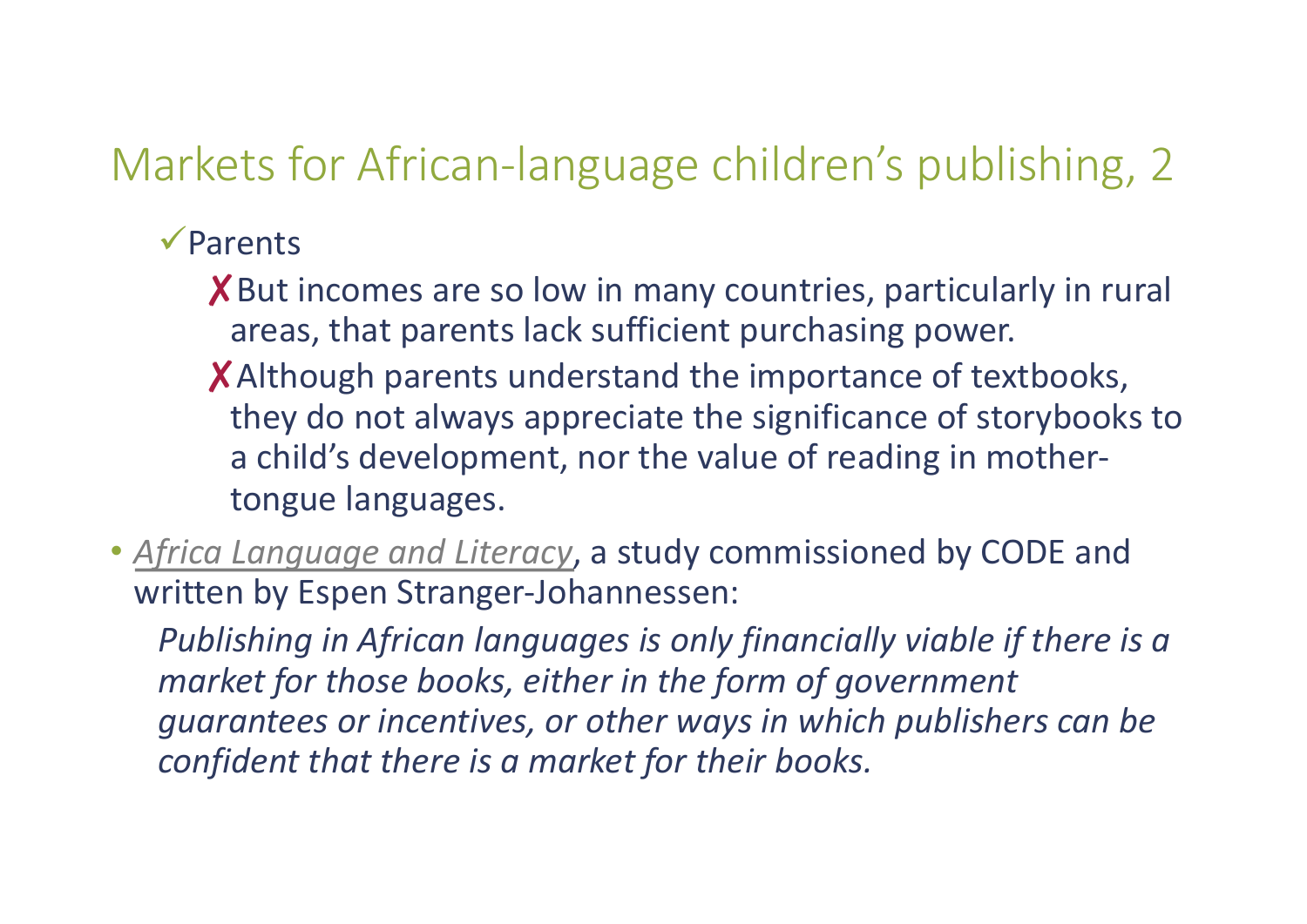### Markets for African-language children's publishing, 2

#### $\sqrt{$  Parents

- X But incomes are so low in many countries, particularly in rural areas, that parents lack sufficient purchasing power.
- ✘Although parents understand the importance of textbooks, they do not always appreciate the significance of storybooks to a child's development, nor the value of reading in mothertongue languages.
- *[Africa Language and Literacy](https://code.ngo/sites/default/files/code-africa-language-and-literacy-report-aug2017-web.pdf)*, a study commissioned by CODE and written by Espen Stranger-Johannessen:

*Publishing in African languages is only financially viable if there is a market for those books, either in the form of government guarantees or incentives, or other ways in which publishers can be confident that there is a market for their books.*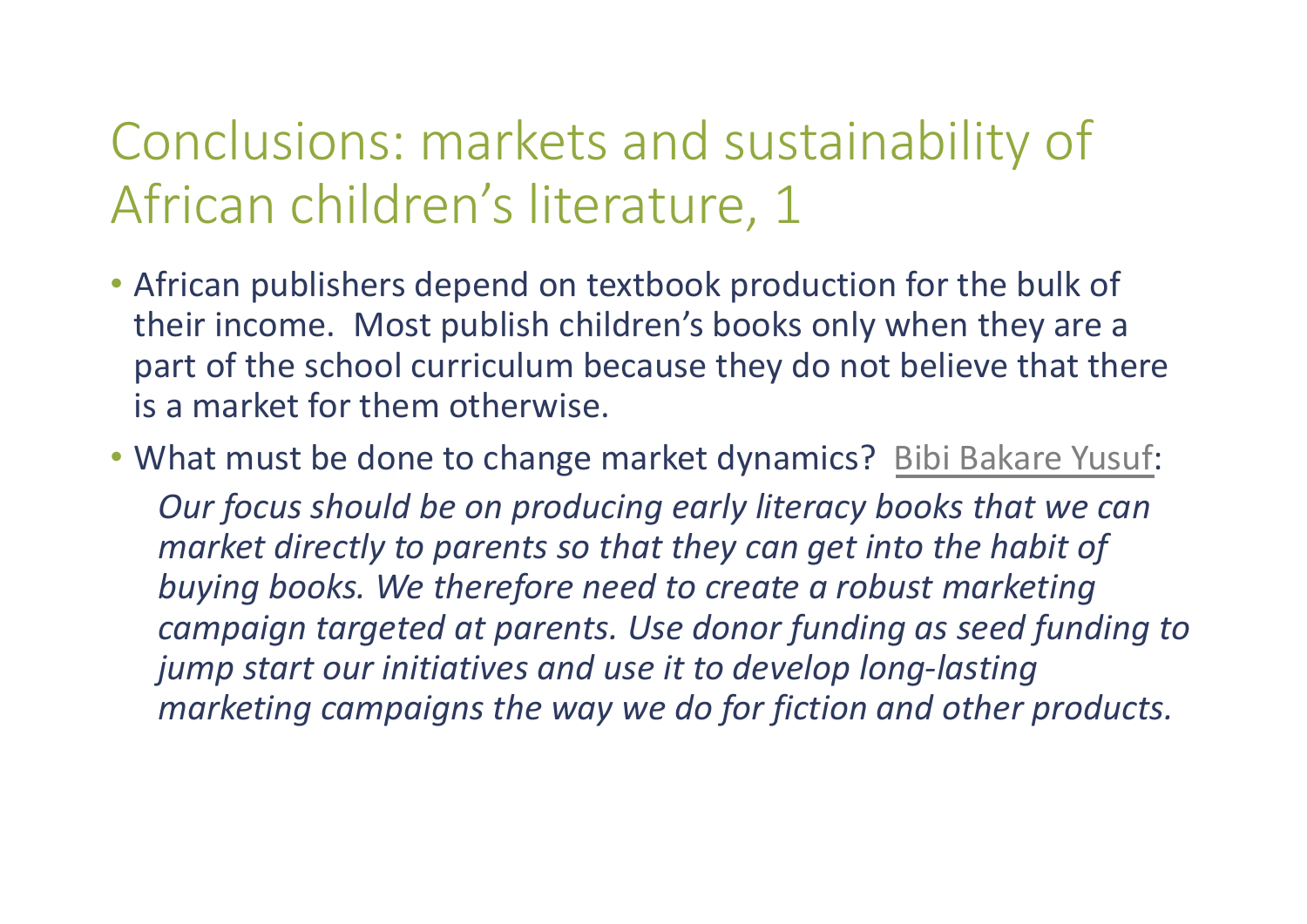# Conclusions: markets and sustainability of African children's literature, 1

- African publishers depend on textbook production for the bulk of their income. Most publish children's books only when they are a part of the school curriculum because they do not believe that there is a market for them otherwise.
- What must be done to change market dynamics? [Bibi Bakare Yusuf](http://www.earlyliteracynetwork.org/content/early-literacy-and-open-licensing-workshop-report-2018): *Our focus should be on producing early literacy books that we can market directly to parents so that they can get into the habit of buying books. We therefore need to create a robust marketing campaign targeted at parents. Use donor funding as seed funding to jump start our initiatives and use it to develop long-lasting marketing campaigns the way we do for fiction and other products.*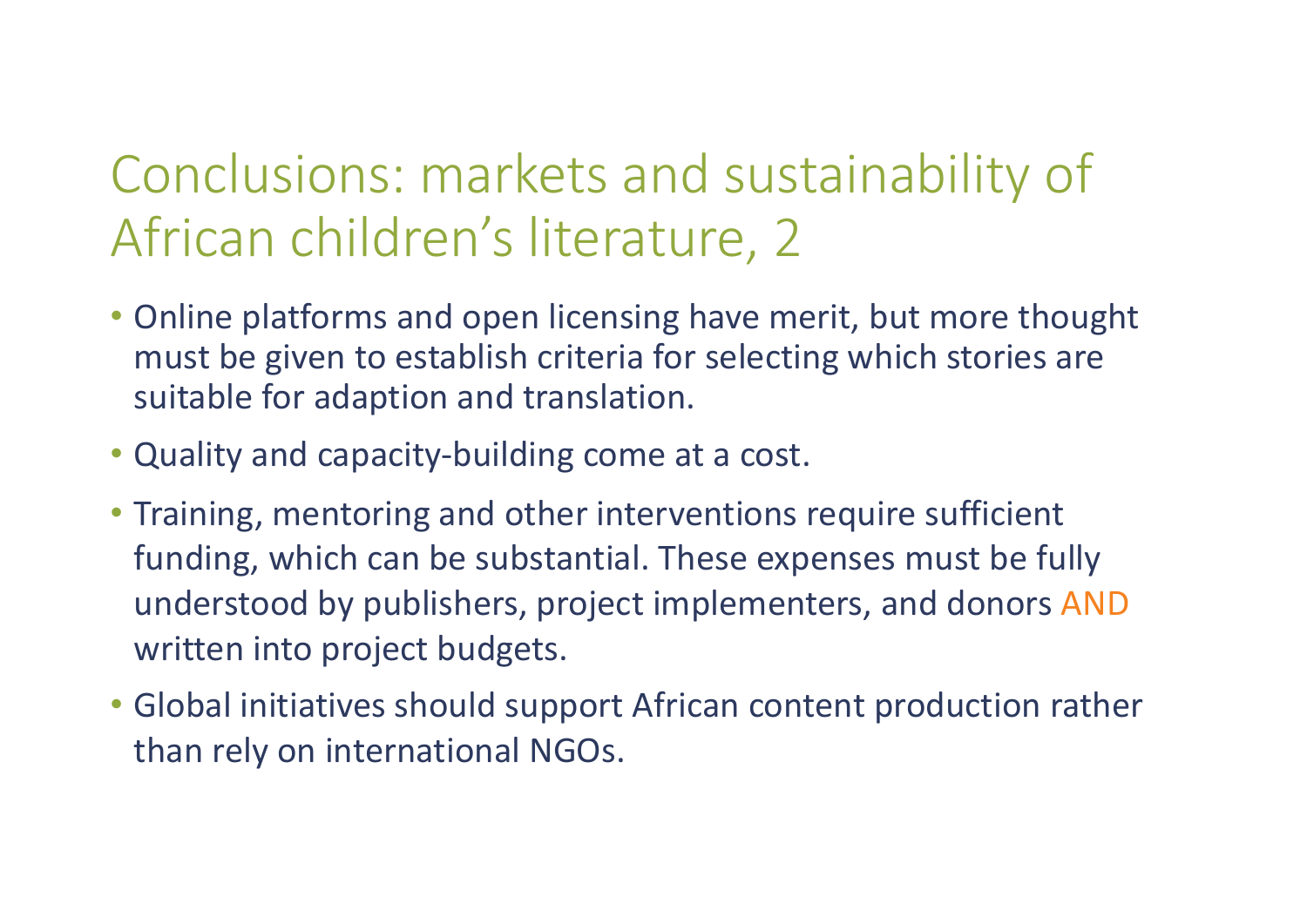# Conclusions: markets and sustainability of African children's literature, 2

- Online platforms and open licensing have merit, but more thought must be given to establish criteria for selecting which stories are suitable for adaption and translation.
- Quality and capacity-building come at a cost.
- Training, mentoring and other interventions require sufficient funding, which can be substantial. These expenses must be fully understood by publishers, project implementers, and donors AND written into project budgets.
- Global initiatives should support African content production rather than rely on international NGOs.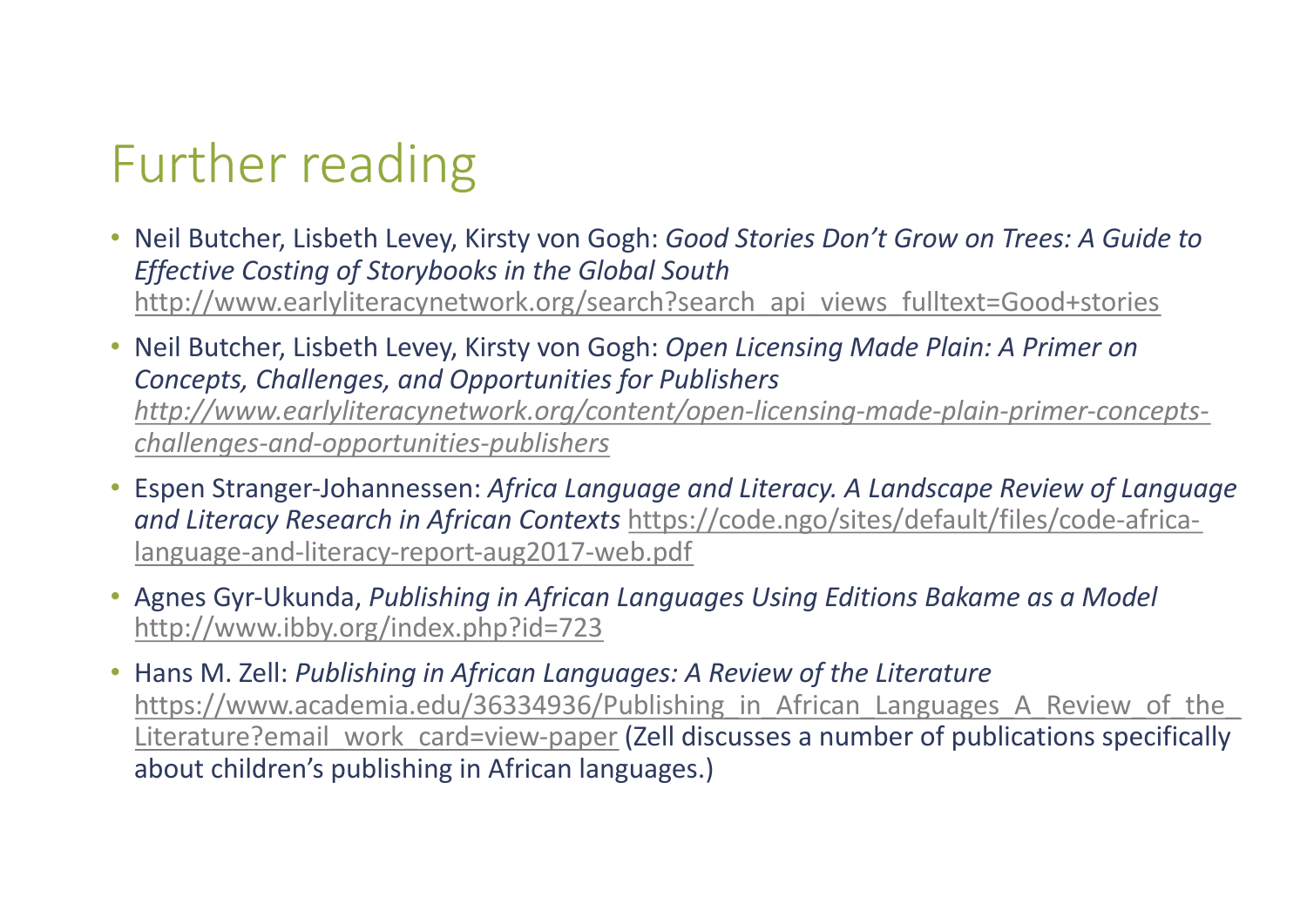# Further reading

- Neil Butcher, Lisbeth Levey, Kirsty von Gogh: *Good Stories Don't Grow on Trees: A Guide to Effective Costing of Storybooks in the Global South*  [http://www.earlyliteracynetwork.org/search?search\\_api\\_views\\_fulltext=Good+stories](http://www.earlyliteracynetwork.org/search%3Fsearch_api_views_fulltext=Good+stories)
- Neil Butcher, Lisbeth Levey, Kirsty von Gogh: *Open Licensing Made Plain: A Primer on Concepts, Challenges, and Opportunities for Publishers [http://www.earlyliteracynetwork.org/content/open-licensing-made-plain-primer-concepts](http://www.earlyliteracynetwork.org/content/open-licensing-made-plain-primer-concepts-challenges-and-opportunities-publishers)challenges-and-opportunities-publishers*
- Espen Stranger-Johannessen: *Africa Language and Literacy. A Landscape Review of Language and Literacy Research in African Contexts* https://code.ngo/sites/default/files/code-africa[language-and-literacy-report-aug2017-web.pdf](https://code.ngo/sites/default/files/code-africa-language-and-literacy-report-aug2017-web.pdf)
- Agnes Gyr-Ukunda, *Publishing in African Languages Using Editions Bakame as a Model*  [http://www.ibby.org/index.php?id=723](http://www.ibby.org/index.php%3Fid=723)
- Hans M. Zell: *Publishing in African Languages: A Review of the Literature*  https://www.academia.edu/36334936/Publishing in African Languages A Review of the Literature?email work card=view-paper (Zell discusses a number of publications specifically about children's publishing in African languages.)